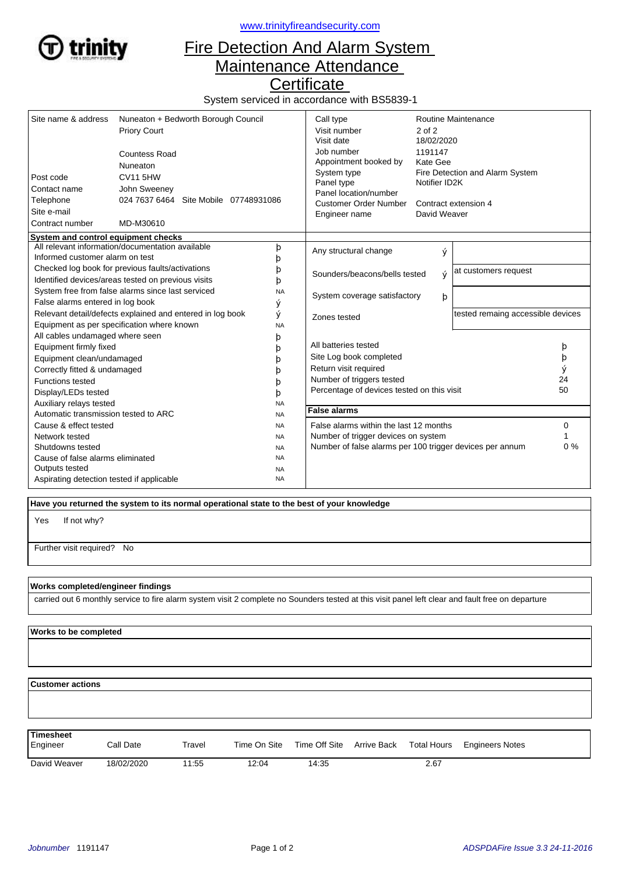

<www.trinityfireandsecurity.com>

## Fire Detection And Alarm System Maintenance Attendance

**Certificate** 

System serviced in accordance with BS5839-1

| Site name & address<br>Post code<br>Contact name<br>Telephone<br>Site e-mail<br>Contract number             | Nuneaton + Bedworth Borough Council<br><b>Priory Court</b><br>Countess Road<br>Nuneaton<br><b>CV11 5HW</b><br>John Sweeney<br>024 7637 6464 Site Mobile 07748931086<br>MD-M30610 |                                                          | Call type<br>Visit number<br>Visit date<br>Job number<br>Appointment booked by<br>System type<br>Panel type<br>Panel location/number<br><b>Customer Order Number</b><br>Engineer name | Routine Maintenance<br>$2$ of $2$<br>18/02/2020<br>1191147<br>Kate Gee<br>Fire Detection and Alarm System<br>Notifier ID2K<br>Contract extension 4<br>David Weaver |                                   |    |
|-------------------------------------------------------------------------------------------------------------|----------------------------------------------------------------------------------------------------------------------------------------------------------------------------------|----------------------------------------------------------|---------------------------------------------------------------------------------------------------------------------------------------------------------------------------------------|--------------------------------------------------------------------------------------------------------------------------------------------------------------------|-----------------------------------|----|
| System and control equipment checks                                                                         | All relevant information/documentation available                                                                                                                                 |                                                          |                                                                                                                                                                                       |                                                                                                                                                                    |                                   |    |
| Informed customer alarm on test                                                                             |                                                                                                                                                                                  | þ                                                        | Any structural change<br>ý                                                                                                                                                            |                                                                                                                                                                    |                                   |    |
|                                                                                                             |                                                                                                                                                                                  | þ                                                        |                                                                                                                                                                                       |                                                                                                                                                                    |                                   |    |
| Checked log book for previous faults/activations<br>О<br>Identified devices/areas tested on previous visits |                                                                                                                                                                                  | þ                                                        | Sounders/beacons/bells tested<br>Ý                                                                                                                                                    |                                                                                                                                                                    | at customers request              |    |
| System free from false alarms since last serviced<br><b>NA</b>                                              |                                                                                                                                                                                  |                                                          | $\mathsf{b}$                                                                                                                                                                          |                                                                                                                                                                    |                                   |    |
| False alarms entered in log book<br>ý                                                                       |                                                                                                                                                                                  |                                                          | System coverage satisfactory                                                                                                                                                          |                                                                                                                                                                    |                                   |    |
| Relevant detail/defects explained and entered in log book                                                   |                                                                                                                                                                                  | ý                                                        | Zones tested                                                                                                                                                                          |                                                                                                                                                                    | tested remaing accessible devices |    |
| Equipment as per specification where known<br><b>NA</b>                                                     |                                                                                                                                                                                  |                                                          |                                                                                                                                                                                       |                                                                                                                                                                    |                                   |    |
| All cables undamaged where seen                                                                             |                                                                                                                                                                                  | þ                                                        |                                                                                                                                                                                       |                                                                                                                                                                    |                                   |    |
| Equipment firmly fixed<br>b                                                                                 |                                                                                                                                                                                  |                                                          | All batteries tested                                                                                                                                                                  |                                                                                                                                                                    |                                   |    |
| Equipment clean/undamaged<br>b                                                                              |                                                                                                                                                                                  |                                                          | Site Log book completed                                                                                                                                                               |                                                                                                                                                                    | þ                                 |    |
| Correctly fitted & undamaged<br>n                                                                           |                                                                                                                                                                                  |                                                          | Return visit required                                                                                                                                                                 |                                                                                                                                                                    |                                   |    |
| <b>Functions tested</b>                                                                                     |                                                                                                                                                                                  | b                                                        | Number of triggers tested                                                                                                                                                             |                                                                                                                                                                    |                                   | 24 |
| Display/LEDs tested<br>b                                                                                    |                                                                                                                                                                                  |                                                          | 50<br>Percentage of devices tested on this visit                                                                                                                                      |                                                                                                                                                                    |                                   |    |
| Auxiliary relays tested                                                                                     |                                                                                                                                                                                  | <b>NA</b>                                                |                                                                                                                                                                                       |                                                                                                                                                                    |                                   |    |
| Automatic transmission tested to ARC<br><b>NA</b>                                                           |                                                                                                                                                                                  | <b>False alarms</b>                                      |                                                                                                                                                                                       |                                                                                                                                                                    |                                   |    |
| Cause & effect tested<br><b>NA</b>                                                                          |                                                                                                                                                                                  |                                                          | False alarms within the last 12 months                                                                                                                                                |                                                                                                                                                                    |                                   | 0  |
| Network tested<br><b>NA</b>                                                                                 |                                                                                                                                                                                  |                                                          | Number of trigger devices on system                                                                                                                                                   |                                                                                                                                                                    |                                   |    |
| Shutdowns tested<br><b>NA</b>                                                                               |                                                                                                                                                                                  | Number of false alarms per 100 trigger devices per annum |                                                                                                                                                                                       |                                                                                                                                                                    | $0\%$                             |    |
| Cause of false alarms eliminated                                                                            |                                                                                                                                                                                  | <b>NA</b>                                                |                                                                                                                                                                                       |                                                                                                                                                                    |                                   |    |
| Outputs tested                                                                                              |                                                                                                                                                                                  | <b>NA</b>                                                |                                                                                                                                                                                       |                                                                                                                                                                    |                                   |    |
| Aspirating detection tested if applicable                                                                   |                                                                                                                                                                                  | <b>NA</b>                                                |                                                                                                                                                                                       |                                                                                                                                                                    |                                   |    |

 **Have you returned the system to its normal operational state to the best of your knowledge**

If not why? Yes

Further visit required? No

## **Works completed/engineer findings**

carried out 6 monthly service to fire alarm system visit 2 complete no Sounders tested at this visit panel left clear and fault free on departure

 **Works to be completed**

 **Customer actions**

| Timesheet<br>Engineer | Call Date  | Travel | Time On Site | Time Off Site | Arrive Back | <b>Total Hours</b> | <b>Engineers Notes</b> |
|-----------------------|------------|--------|--------------|---------------|-------------|--------------------|------------------------|
| David Weaver          | 18/02/2020 | 11:55  | 12:04        | 14:35         |             | 2.67               |                        |